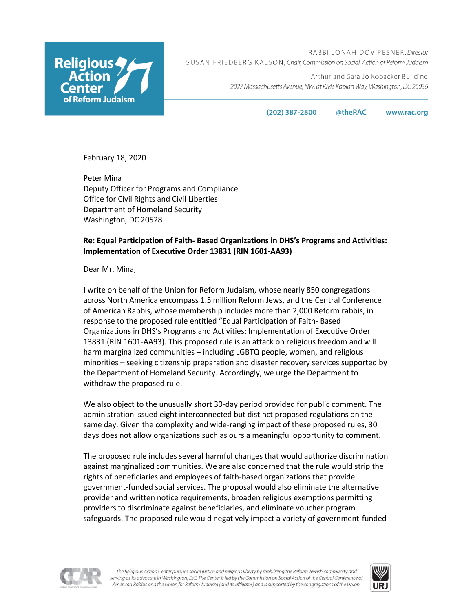

RABBI JONAH DOV PESNER, Director SUSAN FRIEDBERG KALSON, Chair, Commission on Social Action of Reform Judaism

> Arthur and Sara Jo Kobacker Building 2027 Massachusetts Avenue, NW, at Kivie Kaplan Way, Washington, DC 20036

> > $(202)$  387-2800 @theRAC www.rac.org

February 18, 2020

Peter Mina Deputy Officer for Programs and Compliance Office for Civil Rights and Civil Liberties Department of Homeland Security Washington, DC 20528

## **Re: Equal Participation of Faith- Based Organizations in DHS's Programs and Activities: Implementation of Executive Order 13831 (RIN 1601-AA93)**

Dear Mr. Mina,

I write on behalf of the Union for Reform Judaism, whose nearly 850 congregations across North America encompass 1.5 million Reform Jews, and the Central Conference of American Rabbis, whose membership includes more than 2,000 Reform rabbis, in response to the proposed rule entitled "Equal Participation of Faith- Based Organizations in DHS's Programs and Activities: Implementation of Executive Order 13831 (RIN 1601-AA93). This proposed rule is an attack on religious freedom and will harm marginalized communities – including LGBTQ people, women, and religious minorities – seeking citizenship preparation and disaster recovery services supported by the Department of Homeland Security. Accordingly, we urge the Department to withdraw the proposed rule.

We also object to the unusually short 30-day period provided for public comment. The administration issued eight interconnected but distinct proposed regulations on the same day. Given the complexity and wide-ranging impact of these proposed rules, 30 days does not allow organizations such as ours a meaningful opportunity to comment.

The proposed rule includes several harmful changes that would authorize discrimination against marginalized communities. We are also concerned that the rule would strip the rights of beneficiaries and employees of faith-based organizations that provide government-funded social services. The proposal would also eliminate the alternative provider and written notice requirements, broaden religious exemptions permitting providers to discriminate against beneficiaries, and eliminate voucher program safeguards. The proposed rule would negatively impact a variety of government-funded



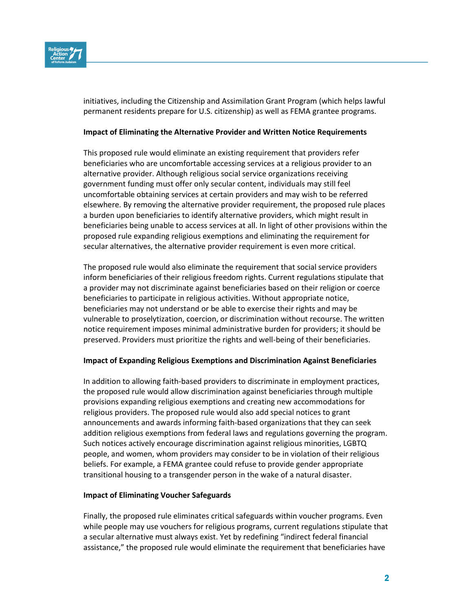

initiatives, including the Citizenship and Assimilation Grant Program (which helps lawful permanent residents prepare for U.S. citizenship) as well as FEMA grantee programs.

## **Impact of Eliminating the Alternative Provider and Written Notice Requirements**

This proposed rule would eliminate an existing requirement that providers refer beneficiaries who are uncomfortable accessing services at a religious provider to an alternative provider. Although religious social service organizations receiving government funding must offer only secular content, individuals may still feel uncomfortable obtaining services at certain providers and may wish to be referred elsewhere. By removing the alternative provider requirement, the proposed rule places a burden upon beneficiaries to identify alternative providers, which might result in beneficiaries being unable to access services at all. In light of other provisions within the proposed rule expanding religious exemptions and eliminating the requirement for secular alternatives, the alternative provider requirement is even more critical.

The proposed rule would also eliminate the requirement that social service providers inform beneficiaries of their religious freedom rights. Current regulations stipulate that a provider may not discriminate against beneficiaries based on their religion or coerce beneficiaries to participate in religious activities. Without appropriate notice, beneficiaries may not understand or be able to exercise their rights and may be vulnerable to proselytization, coercion, or discrimination without recourse. The written notice requirement imposes minimal administrative burden for providers; it should be preserved. Providers must prioritize the rights and well-being of their beneficiaries.

## **Impact of Expanding Religious Exemptions and Discrimination Against Beneficiaries**

In addition to allowing faith-based providers to discriminate in employment practices, the proposed rule would allow discrimination against beneficiaries through multiple provisions expanding religious exemptions and creating new accommodations for religious providers. The proposed rule would also add special notices to grant announcements and awards informing faith-based organizations that they can seek addition religious exemptions from federal laws and regulations governing the program. Such notices actively encourage discrimination against religious minorities, LGBTQ people, and women, whom providers may consider to be in violation of their religious beliefs. For example, a FEMA grantee could refuse to provide gender appropriate transitional housing to a transgender person in the wake of a natural disaster.

## **Impact of Eliminating Voucher Safeguards**

Finally, the proposed rule eliminates critical safeguards within voucher programs. Even while people may use vouchers for religious programs, current regulations stipulate that a secular alternative must always exist. Yet by redefining "indirect federal financial assistance," the proposed rule would eliminate the requirement that beneficiaries have